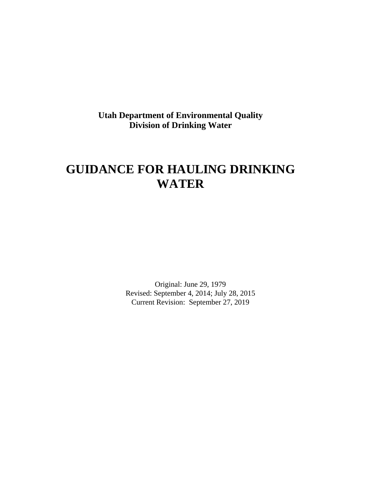**Utah Department of Environmental Quality Division of Drinking Water**

# **GUIDANCE FOR HAULING DRINKING WATER**

Original: June 29, 1979 Revised: September 4, 2014; July 28, 2015 Current Revision: September 27, 2019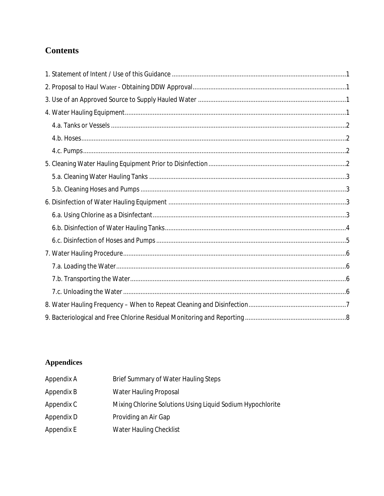## **Contents**

## **Appendices**

| Appendix A | Brief Summary of Water Hauling Steps                       |
|------------|------------------------------------------------------------|
| Appendix B | Water Hauling Proposal                                     |
| Appendix C | Mixing Chlorine Solutions Using Liquid Sodium Hypochlorite |
| Appendix D | Providing an Air Gap                                       |
| Appendix E | Water Hauling Checklist                                    |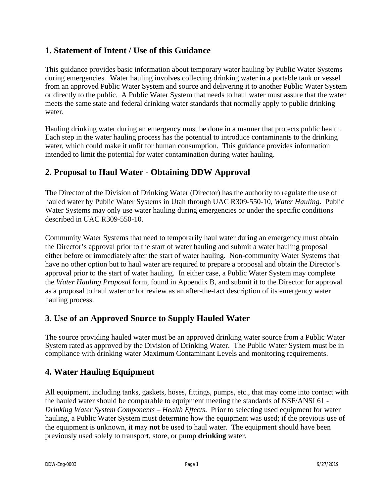## <span id="page-2-0"></span>**1. Statement of Intent / Use of this Guidance**

This guidance provides basic information about temporary water hauling by Public Water Systems during emergencies. Water hauling involves collecting drinking water in a portable tank or vessel from an approved Public Water System and source and delivering it to another Public Water System or directly to the public. A Public Water System that needs to haul water must assure that the water meets the same state and federal drinking water standards that normally apply to public drinking water.

Hauling drinking water during an emergency must be done in a manner that protects public health. Each step in the water hauling process has the potential to introduce contaminants to the drinking water, which could make it unfit for human consumption. This guidance provides information intended to limit the potential for water contamination during water hauling.

## <span id="page-2-1"></span>**2. Proposal to Haul Water - Obtaining DDW Approval**

The Director of the Division of Drinking Water (Director) has the authority to regulate the use of hauled water by Public Water Systems in Utah through UAC R309-550-10, *Water Hauling*. Public Water Systems may only use water hauling during emergencies or under the specific conditions described in UAC R309-550-10.

Community Water Systems that need to temporarily haul water during an emergency must obtain the Director's approval prior to the start of water hauling and submit a water hauling proposal either before or immediately after the start of water hauling. Non-community Water Systems that have no other option but to haul water are required to prepare a proposal and obtain the Director's approval prior to the start of water hauling. In either case, a Public Water System may complete the *Water Hauling Proposal* form, found in Appendix B, and submit it to the Director for approval as a proposal to haul water or for review as an after-the-fact description of its emergency water hauling process.

## <span id="page-2-2"></span>**3. Use of an Approved Source to Supply Hauled Water**

The source providing hauled water must be an approved drinking water source from a Public Water System rated as approved by the Division of Drinking Water. The Public Water System must be in compliance with drinking water Maximum Contaminant Levels and monitoring requirements.

## <span id="page-2-3"></span>**4. Water Hauling Equipment**

All equipment, including tanks, gaskets, hoses, fittings, pumps, etc., that may come into contact with the hauled water should be comparable to equipment meeting the standards of NSF/ANSI 61 - *Drinking Water System Components – Health Effects*. Prior to selecting used equipment for water hauling, a Public Water System must determine how the equipment was used; if the previous use of the equipment is unknown, it may **not** be used to haul water. The equipment should have been previously used solely to transport, store, or pump **drinking** water.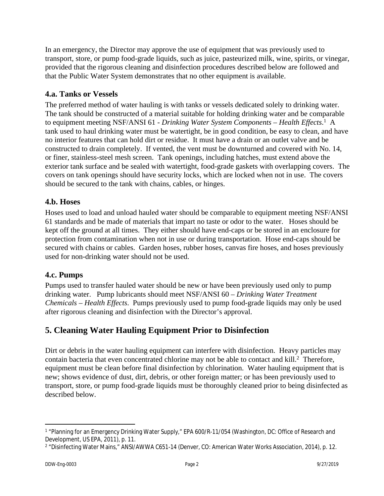In an emergency, the Director may approve the use of equipment that was previously used to transport, store, or pump food-grade liquids, such as juice, pasteurized milk, wine, spirits, or vinegar, provided that the rigorous cleaning and disinfection procedures described below are followed and that the Public Water System demonstrates that no other equipment is available.

#### <span id="page-3-0"></span>**4.a. Tanks or Vessels**

The preferred method of water hauling is with tanks or vessels dedicated solely to drinking water. The tank should be constructed of a material suitable for holding drinking water and be comparable to equipment meeting NSF/ANSI 61 - *Drinking Water System Components – Health Effects*.<sup>1</sup> A tank used to haul drinking water must be watertight, be in good condition, be easy to clean, and have no interior features that can hold dirt or residue. It must have a drain or an outlet valve and be constructed to drain completely. If vented, the vent must be downturned and covered with No. 14, or finer, stainless-steel mesh screen. Tank openings, including hatches, must extend above the exterior tank surface and be sealed with watertight, food-grade gaskets with overlapping covers. The covers on tank openings should have security locks, which are locked when not in use. The covers should be secured to the tank with chains, cables, or hinges.

#### <span id="page-3-1"></span>**4.b. Hoses**

Hoses used to load and unload hauled water should be comparable to equipment meeting NSF/ANSI 61 standards and be made of materials that impart no taste or odor to the water. Hoses should be kept off the ground at all times. They either should have end-caps or be stored in an enclosure for protection from contamination when not in use or during transportation. Hose end-caps should be secured with chains or cables. Garden hoses, rubber hoses, canvas fire hoses, and hoses previously used for non-drinking water should not be used.

#### <span id="page-3-2"></span>**4.c. Pumps**

Pumps used to transfer hauled water should be new or have been previously used only to pump drinking water. Pump lubricants should meet NSF/ANSI 60 – *Drinking Water Treatment Chemicals* – *Health Effects*. Pumps previously used to pump food-grade liquids may only be used after rigorous cleaning and disinfection with the Director's approval.

## <span id="page-3-3"></span>**5. Cleaning Water Hauling Equipment Prior to Disinfection**

Dirt or debris in the water hauling equipment can interfere with disinfection. Heavy particles may contain bacteria that even concentrated chlorine may not be able to contact and kill.<sup>2</sup> Therefore, equipment must be clean before final disinfection by chlorination. Water hauling equipment that is new; shows evidence of dust, dirt, debris, or other foreign matter; or has been previously used to transport, store, or pump food-grade liquids must be thoroughly cleaned prior to being disinfected as described below.

<sup>1</sup> "Planning for an Emergency Drinking Water Supply," EPA 600/R-11/054 (Washington, DC: Office of Research and Development, US EPA, 2011), p. 11.

<sup>2</sup> "Disinfecting Water Mains," ANSI/AWWA C651-14 (Denver, CO: American Water Works Association, 2014), p. 12.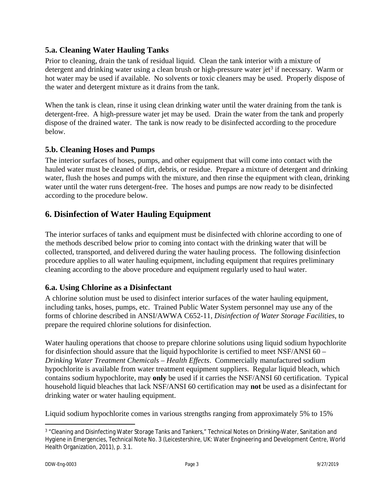#### <span id="page-4-0"></span>**5.a. Cleaning Water Hauling Tanks**

Prior to cleaning, drain the tank of residual liquid. Clean the tank interior with a mixture of detergent and drinking water using a clean brush or high-pressure water jet<sup>3</sup> if necessary. Warm or hot water may be used if available. No solvents or toxic cleaners may be used. Properly dispose of the water and detergent mixture as it drains from the tank.

When the tank is clean, rinse it using clean drinking water until the water draining from the tank is detergent-free. A high-pressure water jet may be used. Drain the water from the tank and properly dispose of the drained water. The tank is now ready to be disinfected according to the procedure below.

#### <span id="page-4-1"></span>**5.b. Cleaning Hoses and Pumps**

The interior surfaces of hoses, pumps, and other equipment that will come into contact with the hauled water must be cleaned of dirt, debris, or residue. Prepare a mixture of detergent and drinking water, flush the hoses and pumps with the mixture, and then rinse the equipment with clean, drinking water until the water runs detergent-free. The hoses and pumps are now ready to be disinfected according to the procedure below.

## <span id="page-4-2"></span>**6. Disinfection of Water Hauling Equipment**

The interior surfaces of tanks and equipment must be disinfected with chlorine according to one of the methods described below prior to coming into contact with the drinking water that will be collected, transported, and delivered during the water hauling process. The following disinfection procedure applies to all water hauling equipment, including equipment that requires preliminary cleaning according to the above procedure and equipment regularly used to haul water.

## <span id="page-4-3"></span>**6.a. Using Chlorine as a Disinfectant**

A chlorine solution must be used to disinfect interior surfaces of the water hauling equipment, including tanks, hoses, pumps, etc. Trained Public Water System personnel may use any of the forms of chlorine described in ANSI/AWWA C652-11, *Disinfection of Water Storage Facilities*, to prepare the required chlorine solutions for disinfection.

Water hauling operations that choose to prepare chlorine solutions using liquid sodium hypochlorite for disinfection should assure that the liquid hypochlorite is certified to meet NSF/ANSI 60 – *Drinking Water Treatment Chemicals* – *Health Effects*. Commercially manufactured sodium hypochlorite is available from water treatment equipment suppliers. Regular liquid bleach, which contains sodium hypochlorite, may **only** be used if it carries the NSF/ANSI 60 certification. Typical household liquid bleaches that lack NSF/ANSI 60 certification may **not** be used as a disinfectant for drinking water or water hauling equipment.

Liquid sodium hypochlorite comes in various strengths ranging from approximately 5% to 15%

<sup>3</sup> "Cleaning and Disinfecting Water Storage Tanks and Tankers," Technical Notes on Drinking-Water, Sanitation and Hygiene in Emergencies, Technical Note No. 3 (Leicestershire, UK: Water Engineering and Development Centre, World Health Organization, 2011), p. 3.1.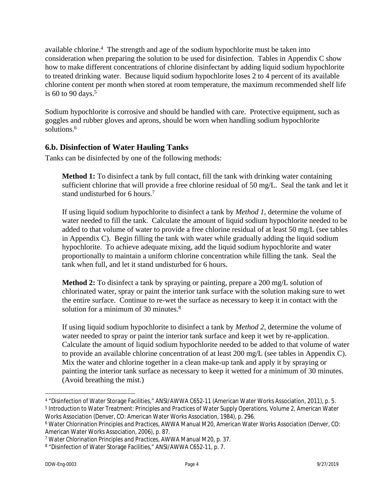available chlorine.<sup>4</sup> The strength and age of the sodium hypochlorite must be taken into consideration when preparing the solution to be used for disinfection. Tables in Appendix C show how to make different concentrations of chlorine disinfectant by adding liquid sodium hypochlorite to treated drinking water. Because liquid sodium hypochlorite loses 2 to 4 percent of its available chlorine content per month when stored at room temperature, the maximum recommended shelf life is 60 to 90 days.<sup>5</sup>

Sodium hypochlorite is corrosive and should be handled with care. Protective equipment, such as goggles and rubber gloves and aprons, should be worn when handling sodium hypochlorite solutions.<sup>6</sup>

#### <span id="page-5-0"></span>**6.b. Disinfection of Water Hauling Tanks**

Tanks can be disinfected by one of the following methods:

Method 1: To disinfect a tank by full contact, fill the tank with drinking water containing sufficient chlorine that will provide a free chlorine residual of 50 mg/L. Seal the tank and let it stand undisturbed for 6 hours.<sup>7</sup>

If using liquid sodium hypochlorite to disinfect a tank by *Method 1*, determine the volume of water needed to fill the tank. Calculate the amount of liquid sodium hypochlorite needed to be added to that volume of water to provide a free chlorine residual of at least 50 mg/L (see tables in Appendix C). Begin filling the tank with water while gradually adding the liquid sodium hypochlorite. To achieve adequate mixing, add the liquid sodium hypochlorite and water proportionally to maintain a uniform chlorine concentration while filling the tank. Seal the tank when full, and let it stand undisturbed for 6 hours.

**Method 2:** To disinfect a tank by spraying or painting, prepare a 200 mg/L solution of chlorinated water, spray or paint the interior tank surface with the solution making sure to wet the entire surface. Continue to re-wet the surface as necessary to keep it in contact with the solution for a minimum of 30 minutes.<sup>8</sup>

If using liquid sodium hypochlorite to disinfect a tank by *Method 2*, determine the volume of water needed to spray or paint the interior tank surface and keep it wet by re-application. Calculate the amount of liquid sodium hypochlorite needed to be added to that volume of water to provide an available chlorine concentration of at least 200 mg/L (see tables in Appendix C). Mix the water and chlorine together in a clean make-up tank and apply it by spraying or painting the interior tank surface as necessary to keep it wetted for a minimum of 30 minutes. (Avoid breathing the mist.)

<sup>4</sup> "Disinfection of Water Storage Facilities," ANSI/AWWA C652-11 (American Water Works Association, 2011), p. 5. 5 *Introduction to Water Treatment: Principles and Practices of Water Supply Operations*, Volume 2, American Water Works Association (Denver, CO: American Water Works Association, 1984), p. 296.

<sup>6</sup> *Water Chlorination Principles and Practices*, AWWA Manual M20, American Water Works Association (Denver, CO: American Water Works Association, 2006), p. 87.

<sup>7</sup> *Water Chlorination Principles and Practices*, AWWA Manual M20, p. 37.

<sup>&</sup>lt;sup>8</sup> "Disinfection of Water Storage Facilities," ANSI/AWWA C652-11, p. 7.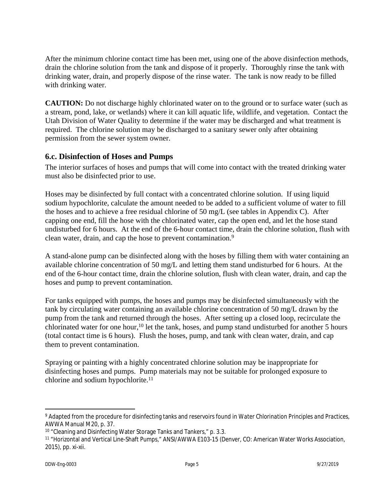After the minimum chlorine contact time has been met, using one of the above disinfection methods, drain the chlorine solution from the tank and dispose of it properly. Thoroughly rinse the tank with drinking water, drain, and properly dispose of the rinse water. The tank is now ready to be filled with drinking water.

**CAUTION:** Do not discharge highly chlorinated water on to the ground or to surface water (such as a stream, pond, lake, or wetlands) where it can kill aquatic life, wildlife, and vegetation. Contact the Utah Division of Water Quality to determine if the water may be discharged and what treatment is required. The chlorine solution may be discharged to a sanitary sewer only after obtaining permission from the sewer system owner.

#### <span id="page-6-0"></span>**6.c. Disinfection of Hoses and Pumps**

The interior surfaces of hoses and pumps that will come into contact with the treated drinking water must also be disinfected prior to use.

Hoses may be disinfected by full contact with a concentrated chlorine solution. If using liquid sodium hypochlorite, calculate the amount needed to be added to a sufficient volume of water to fill the hoses and to achieve a free residual chlorine of 50 mg/L (see tables in Appendix C). After capping one end, fill the hose with the chlorinated water, cap the open end, and let the hose stand undisturbed for 6 hours. At the end of the 6-hour contact time, drain the chlorine solution, flush with clean water, drain, and cap the hose to prevent contamination.<sup>9</sup>

A stand-alone pump can be disinfected along with the hoses by filling them with water containing an available chlorine concentration of 50 mg/L and letting them stand undisturbed for 6 hours. At the end of the 6-hour contact time, drain the chlorine solution, flush with clean water, drain, and cap the hoses and pump to prevent contamination.

For tanks equipped with pumps, the hoses and pumps may be disinfected simultaneously with the tank by circulating water containing an available chlorine concentration of 50 mg/L drawn by the pump from the tank and returned through the hoses. After setting up a closed loop, recirculate the chlorinated water for one hour,<sup>10</sup> let the tank, hoses, and pump stand undisturbed for another 5 hours (total contact time is 6 hours). Flush the hoses, pump, and tank with clean water, drain, and cap them to prevent contamination.

Spraying or painting with a highly concentrated chlorine solution may be inappropriate for disinfecting hoses and pumps. Pump materials may not be suitable for prolonged exposure to chlorine and sodium hypochlorite.<sup>11</sup>

<sup>9</sup> Adapted from the procedure for disinfecting tanks and reservoirs found in *Water Chlorination Principles and Practices*, AWWA Manual M20, p. 37.

<sup>10</sup> "Cleaning and Disinfecting Water Storage Tanks and Tankers," p. 3.3.

<sup>11</sup> "Horizontal and Vertical Line-Shaft Pumps," ANSI/AWWA E103-15 (Denver, CO: American Water Works Association, 2015), pp. xi-xii.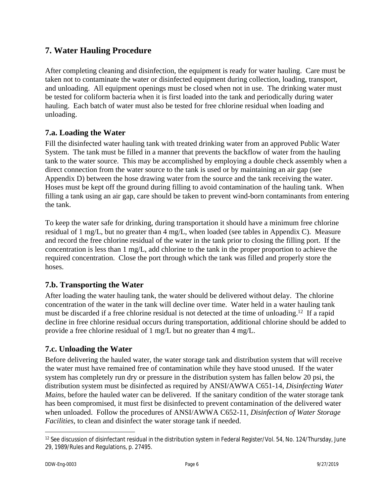## <span id="page-7-0"></span>**7. Water Hauling Procedure**

After completing cleaning and disinfection, the equipment is ready for water hauling. Care must be taken not to contaminate the water or disinfected equipment during collection, loading, transport, and unloading. All equipment openings must be closed when not in use. The drinking water must be tested for coliform bacteria when it is first loaded into the tank and periodically during water hauling. Each batch of water must also be tested for free chlorine residual when loading and unloading.

#### <span id="page-7-1"></span>**7.a. Loading the Water**

Fill the disinfected water hauling tank with treated drinking water from an approved Public Water System. The tank must be filled in a manner that prevents the backflow of water from the hauling tank to the water source. This may be accomplished by employing a double check assembly when a direct connection from the water source to the tank is used or by maintaining an air gap (see Appendix D) between the hose drawing water from the source and the tank receiving the water. Hoses must be kept off the ground during filling to avoid contamination of the hauling tank. When filling a tank using an air gap, care should be taken to prevent wind-born contaminants from entering the tank.

To keep the water safe for drinking, during transportation it should have a minimum free chlorine residual of 1 mg/L, but no greater than 4 mg/L, when loaded (see tables in Appendix C). Measure and record the free chlorine residual of the water in the tank prior to closing the filling port. If the concentration is less than 1 mg/L, add chlorine to the tank in the proper proportion to achieve the required concentration. Close the port through which the tank was filled and properly store the hoses.

## <span id="page-7-2"></span>**7.b. Transporting the Water**

After loading the water hauling tank, the water should be delivered without delay. The chlorine concentration of the water in the tank will decline over time. Water held in a water hauling tank must be discarded if a free chlorine residual is not detected at the time of unloading.<sup>12</sup> If a rapid decline in free chlorine residual occurs during transportation, additional chlorine should be added to provide a free chlorine residual of 1 mg/L but no greater than 4 mg/L.

## <span id="page-7-3"></span>**7.c. Unloading the Water**

Before delivering the hauled water, the water storage tank and distribution system that will receive the water must have remained free of contamination while they have stood unused. If the water system has completely run dry or pressure in the distribution system has fallen below 20 psi, the distribution system must be disinfected as required by ANSI/AWWA C651-14, *Disinfecting Water Mains*, before the hauled water can be delivered. If the sanitary condition of the water storage tank has been compromised, it must first be disinfected to prevent contamination of the delivered water when unloaded. Follow the procedures of ANSI/AWWA C652-11, *Disinfection of Water Storage Facilities*, to clean and disinfect the water storage tank if needed.

<sup>&</sup>lt;sup>12</sup> See discussion of disinfectant residual in the distribution system in Federal Register/Vol. 54, No. 124/Thursday, June 29, 1989/Rules and Regulations, p. 27495.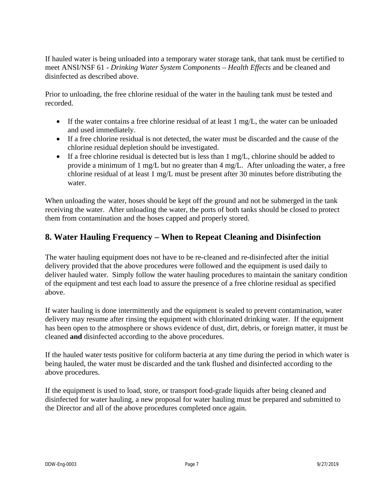If hauled water is being unloaded into a temporary water storage tank, that tank must be certified to meet ANSI/NSF 61 - *Drinking Water System Components – Health Effects* and be cleaned and disinfected as described above.

Prior to unloading, the free chlorine residual of the water in the hauling tank must be tested and recorded.

- If the water contains a free chlorine residual of at least  $1 \text{ mg/L}$ , the water can be unloaded and used immediately.
- If a free chlorine residual is not detected, the water must be discarded and the cause of the chlorine residual depletion should be investigated.
- If a free chlorine residual is detected but is less than 1 mg/L, chlorine should be added to provide a minimum of 1 mg/L but no greater than 4 mg/L. After unloading the water, a free chlorine residual of at least 1 mg/L must be present after 30 minutes before distributing the water.

When unloading the water, hoses should be kept off the ground and not be submerged in the tank receiving the water. After unloading the water, the ports of both tanks should be closed to protect them from contamination and the hoses capped and properly stored.

## <span id="page-8-0"></span>**8. Water Hauling Frequency – When to Repeat Cleaning and Disinfection**

The water hauling equipment does not have to be re-cleaned and re-disinfected after the initial delivery provided that the above procedures were followed and the equipment is used daily to deliver hauled water. Simply follow the water hauling procedures to maintain the sanitary condition of the equipment and test each load to assure the presence of a free chlorine residual as specified above.

If water hauling is done intermittently and the equipment is sealed to prevent contamination, water delivery may resume after rinsing the equipment with chlorinated drinking water. If the equipment has been open to the atmosphere or shows evidence of dust, dirt, debris, or foreign matter, it must be cleaned **and** disinfected according to the above procedures.

If the hauled water tests positive for coliform bacteria at any time during the period in which water is being hauled, the water must be discarded and the tank flushed and disinfected according to the above procedures.

If the equipment is used to load, store, or transport food-grade liquids after being cleaned and disinfected for water hauling, a new proposal for water hauling must be prepared and submitted to the Director and all of the above procedures completed once again.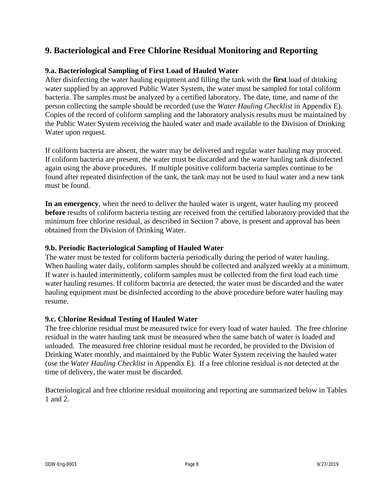## <span id="page-9-0"></span>**9. Bacteriological and Free Chlorine Residual Monitoring and Reporting**

#### **9.a. Bacteriological Sampling of First Load of Hauled Water**

After disinfecting the water hauling equipment and filling the tank with the **first** load of drinking water supplied by an approved Public Water System, the water must be sampled for total coliform bacteria. The samples must be analyzed by a certified laboratory. The date, time, and name of the person collecting the sample should be recorded (use the *Water Hauling Checklist* in Appendix E). Copies of the record of coliform sampling and the laboratory analysis results must be maintained by the Public Water System receiving the hauled water and made available to the Division of Drinking Water upon request.

If coliform bacteria are absent, the water may be delivered and regular water hauling may proceed. If coliform bacteria are present, the water must be discarded and the water hauling tank disinfected again using the above procedures. If multiple positive coliform bacteria samples continue to be found after repeated disinfection of the tank, the tank may not be used to haul water and a new tank must be found.

**In an emergency**, when the need to deliver the hauled water is urgent, water hauling my proceed **before** results of coliform bacteria testing are received from the certified laboratory provided that the minimum free chlorine residual, as described in Section 7 above, is present and approval has been obtained from the Division of Drinking Water.

#### **9.b. Periodic Bacteriological Sampling of Hauled Water**

The water must be tested for coliform bacteria periodically during the period of water hauling. When hauling water daily, coliform samples should be collected and analyzed weekly at a minimum. If water is hauled intermittently, coliform samples must be collected from the first load each time water hauling resumes. If coliform bacteria are detected, the water must be discarded and the water hauling equipment must be disinfected according to the above procedure before water hauling may resume.

#### **9.c. Chlorine Residual Testing of Hauled Water**

The free chlorine residual must be measured twice for every load of water hauled. The free chlorine residual in the water hauling tank must be measured when the same batch of water is loaded and unloaded. The measured free chlorine residual must be recorded, be provided to the Division of Drinking Water monthly, and maintained by the Public Water System receiving the hauled water (use the *Water Hauling Checklist* in Appendix E). If a free chlorine residual is not detected at the time of delivery, the water must be discarded.

Bacteriological and free chlorine residual monitoring and reporting are summarized below in Tables 1 and 2.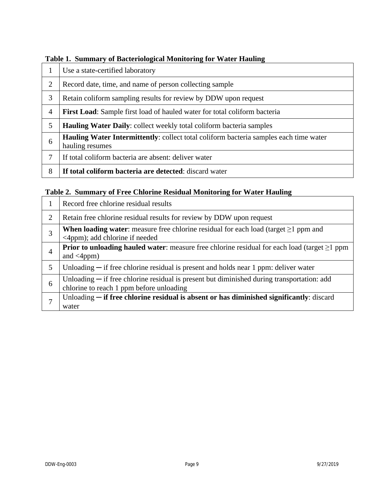|                | Use a state-certified laboratory                                                                                |
|----------------|-----------------------------------------------------------------------------------------------------------------|
| 2              | Record date, time, and name of person collecting sample                                                         |
| 3              | Retain coliform sampling results for review by DDW upon request                                                 |
| $\overline{4}$ | <b>First Load:</b> Sample first load of hauled water for total coliform bacteria                                |
| 5              | <b>Hauling Water Daily:</b> collect weekly total coliform bacteria samples                                      |
| 6              | <b>Hauling Water Intermittently:</b> collect total coliform bacteria samples each time water<br>hauling resumes |
|                | If total coliform bacteria are absent: deliver water                                                            |
| 8              | If total coliform bacteria are detected: discard water                                                          |

#### **Table 1. Summary of Bacteriological Monitoring for Water Hauling**

#### **Table 2. Summary of Free Chlorine Residual Monitoring for Water Hauling**

|   | Record free chlorine residual results                                                                                                    |
|---|------------------------------------------------------------------------------------------------------------------------------------------|
| 2 | Retain free chlorine residual results for review by DDW upon request                                                                     |
| 3 | <b>When loading water:</b> measure free chlorine residual for each load (target $\geq$ 1 ppm and<br>$\leq$ 4ppm); add chlorine if needed |
| 4 | <b>Prior to unloading hauled water:</b> measure free chlorine residual for each load (target $\geq$ 1 ppm<br>and $\langle 4ppm \rangle$  |
| 5 | Unloading $-$ if free chlorine residual is present and holds near 1 ppm: deliver water                                                   |
| 6 | Unloading $-$ if free chlorine residual is present but diminished during transportation: add<br>chlorine to reach 1 ppm before unloading |
|   | Unloading $-$ if free chlorine residual is absent or has diminished significantly: discard<br>water                                      |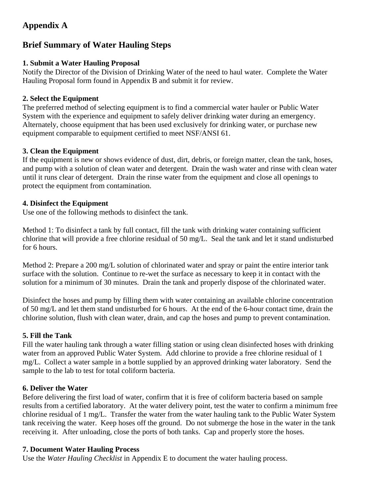## **Appendix A**

## **Brief Summary of Water Hauling Steps**

#### **1. Submit a Water Hauling Proposal**

Notify the Director of the Division of Drinking Water of the need to haul water. Complete the Water Hauling Proposal form found in Appendix B and submit it for review.

#### **2. Select the Equipment**

The preferred method of selecting equipment is to find a commercial water hauler or Public Water System with the experience and equipment to safely deliver drinking water during an emergency. Alternately, choose equipment that has been used exclusively for drinking water, or purchase new equipment comparable to equipment certified to meet NSF/ANSI 61.

#### **3. Clean the Equipment**

If the equipment is new or shows evidence of dust, dirt, debris, or foreign matter, clean the tank, hoses, and pump with a solution of clean water and detergent. Drain the wash water and rinse with clean water until it runs clear of detergent. Drain the rinse water from the equipment and close all openings to protect the equipment from contamination.

#### **4. Disinfect the Equipment**

Use one of the following methods to disinfect the tank.

Method 1: To disinfect a tank by full contact, fill the tank with drinking water containing sufficient chlorine that will provide a free chlorine residual of 50 mg/L. Seal the tank and let it stand undisturbed for 6 hours.

Method 2: Prepare a 200 mg/L solution of chlorinated water and spray or paint the entire interior tank surface with the solution. Continue to re-wet the surface as necessary to keep it in contact with the solution for a minimum of 30 minutes. Drain the tank and properly dispose of the chlorinated water.

Disinfect the hoses and pump by filling them with water containing an available chlorine concentration of 50 mg/L and let them stand undisturbed for 6 hours. At the end of the 6-hour contact time, drain the chlorine solution, flush with clean water, drain, and cap the hoses and pump to prevent contamination.

#### **5. Fill the Tank**

Fill the water hauling tank through a water filling station or using clean disinfected hoses with drinking water from an approved Public Water System. Add chlorine to provide a free chlorine residual of 1 mg/L. Collect a water sample in a bottle supplied by an approved drinking water laboratory. Send the sample to the lab to test for total coliform bacteria.

#### **6. Deliver the Water**

Before delivering the first load of water, confirm that it is free of coliform bacteria based on sample results from a certified laboratory. At the water delivery point, test the water to confirm a minimum free chlorine residual of 1 mg/L. Transfer the water from the water hauling tank to the Public Water System tank receiving the water. Keep hoses off the ground. Do not submerge the hose in the water in the tank receiving it. After unloading, close the ports of both tanks. Cap and properly store the hoses.

#### **7. Document Water Hauling Process**

Use the *Water Hauling Checklist* in Appendix E to document the water hauling process.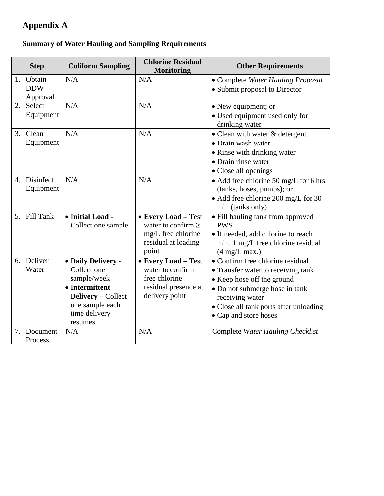## **Appendix A**

## **Summary of Water Hauling and Sampling Requirements**

|    | <b>Step</b>                      | <b>Coliform Sampling</b>                                                                                                                       | <b>Chlorine Residual</b><br><b>Monitoring</b>                                                          | <b>Other Requirements</b>                                                                                                                                                                                                    |
|----|----------------------------------|------------------------------------------------------------------------------------------------------------------------------------------------|--------------------------------------------------------------------------------------------------------|------------------------------------------------------------------------------------------------------------------------------------------------------------------------------------------------------------------------------|
| 1. | Obtain<br><b>DDW</b><br>Approval | N/A                                                                                                                                            | N/A                                                                                                    | • Complete Water Hauling Proposal<br>• Submit proposal to Director                                                                                                                                                           |
| 2. | Select<br>Equipment              | N/A                                                                                                                                            | N/A                                                                                                    | • New equipment; or<br>• Used equipment used only for<br>drinking water                                                                                                                                                      |
| 3. | Clean<br>Equipment               | N/A                                                                                                                                            | N/A                                                                                                    | • Clean with water & detergent<br>• Drain wash water<br>• Rinse with drinking water<br>• Drain rinse water<br>• Close all openings                                                                                           |
| 4. | Disinfect<br>Equipment           | N/A                                                                                                                                            | N/A                                                                                                    | • Add free chlorine 50 mg/L for 6 hrs<br>(tanks, hoses, pumps); or<br>• Add free chlorine 200 mg/L for 30<br>min (tanks only)                                                                                                |
|    | 5. Fill Tank                     | • Initial Load -<br>Collect one sample                                                                                                         | • Every Load - Test<br>water to confirm $\geq$ 1<br>mg/L free chlorine<br>residual at loading<br>point | • Fill hauling tank from approved<br><b>PWS</b><br>• If needed, add chlorine to reach<br>min. 1 mg/L free chlorine residual<br>$(4 \text{ mg/L max.})$                                                                       |
|    | 6. Deliver<br>Water              | • Daily Delivery -<br>Collect one<br>sample/week<br>• Intermittent<br><b>Delivery</b> – Collect<br>one sample each<br>time delivery<br>resumes | • Every Load - Test<br>water to confirm<br>free chlorine<br>residual presence at<br>delivery point     | • Confirm free chlorine residual<br>• Transfer water to receiving tank<br>• Keep hose off the ground<br>• Do not submerge hose in tank<br>receiving water<br>• Close all tank ports after unloading<br>• Cap and store hoses |
| 7. | Document<br>Process              | N/A                                                                                                                                            | N/A                                                                                                    | Complete Water Hauling Checklist                                                                                                                                                                                             |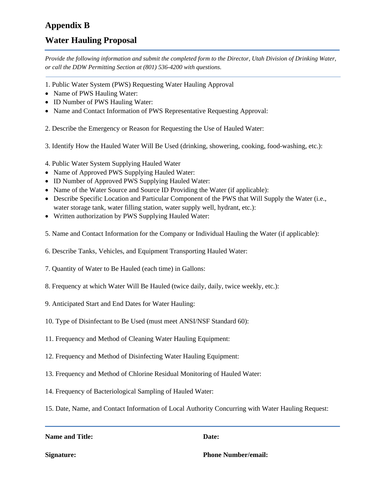## **Appendix B**

## **Water Hauling Proposal**

*Provide the following information and submit the completed form to the Director, Utah Division of Drinking Water, or call the DDW Permitting Section at (801) 536-4200 with questions.*

- 1. Public Water System (PWS) Requesting Water Hauling Approval
- Name of PWS Hauling Water:
- ID Number of PWS Hauling Water:
- Name and Contact Information of PWS Representative Requesting Approval:

2. Describe the Emergency or Reason for Requesting the Use of Hauled Water:

3. Identify How the Hauled Water Will Be Used (drinking, showering, cooking, food-washing, etc.):

- 4. Public Water System Supplying Hauled Water
- Name of Approved PWS Supplying Hauled Water:
- ID Number of Approved PWS Supplying Hauled Water:
- Name of the Water Source and Source ID Providing the Water (if applicable):
- Describe Specific Location and Particular Component of the PWS that Will Supply the Water (i.e., water storage tank, water filling station, water supply well, hydrant, etc.):
- Written authorization by PWS Supplying Hauled Water:
- 5. Name and Contact Information for the Company or Individual Hauling the Water (if applicable):
- 6. Describe Tanks, Vehicles, and Equipment Transporting Hauled Water:
- 7. Quantity of Water to Be Hauled (each time) in Gallons:
- 8. Frequency at which Water Will Be Hauled (twice daily, daily, twice weekly, etc.):
- 9. Anticipated Start and End Dates for Water Hauling:
- 10. Type of Disinfectant to Be Used (must meet ANSI/NSF Standard 60):
- 11. Frequency and Method of Cleaning Water Hauling Equipment:
- 12. Frequency and Method of Disinfecting Water Hauling Equipment:
- 13. Frequency and Method of Chlorine Residual Monitoring of Hauled Water:
- 14. Frequency of Bacteriological Sampling of Hauled Water:
- 15. Date, Name, and Contact Information of Local Authority Concurring with Water Hauling Request:

#### **Name and Title:** Date:

**Signature: Phone Number/email:**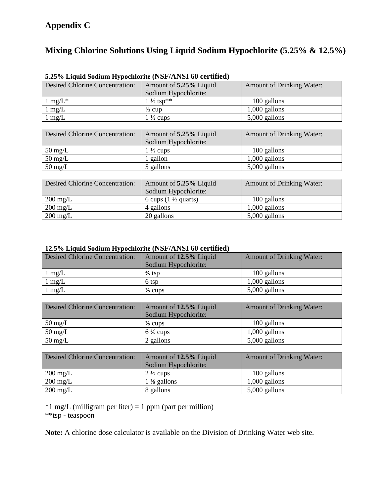## **Appendix C**

## **Mixing Chlorine Solutions Using Liquid Sodium Hypochlorite (5.25% & 12.5%)**

| Desired Chlorine Concentration: | Amount of 5.25% Liquid | <b>Amount of Drinking Water:</b> |
|---------------------------------|------------------------|----------------------------------|
|                                 | Sodium Hypochlorite:   |                                  |
| $1 \text{ mg/L}^*$              | $1\frac{1}{2}$ tsp**   | 100 gallons                      |
| $1 \text{ mg/L}$                | $\frac{1}{3}$ cup      | $1,000$ gallons                  |
| $1 \text{ mg/L}$                | $1\frac{1}{2}$ cups    | $5,000$ gallons                  |

#### **5.25% Liquid Sodium Hypochlorite (NSF/ANSI 60 certified)**

| <b>Desired Chlorine Concentration:</b> | Amount of 5.25% Liquid | <b>Amount of Drinking Water:</b> |  |  |  |
|----------------------------------------|------------------------|----------------------------------|--|--|--|
|                                        | Sodium Hypochlorite:   |                                  |  |  |  |
| $50 \text{ mg/L}$                      | $1\frac{1}{2}$ cups    | 100 gallons                      |  |  |  |
| $50 \text{ mg/L}$                      | 1 gallon               | $1,000$ gallons                  |  |  |  |
| $50 \text{ mg/L}$                      | 5 gallons              | $5,000$ gallons                  |  |  |  |

| <b>Desired Chlorine Concentration:</b> | Amount of 5.25% Liquid          | <b>Amount of Drinking Water:</b> |  |  |  |
|----------------------------------------|---------------------------------|----------------------------------|--|--|--|
|                                        | Sodium Hypochlorite:            |                                  |  |  |  |
| $200 \text{ mg/L}$                     | 6 cups $(1 \frac{1}{2}$ quarts) | 100 gallons                      |  |  |  |
| $200 \text{ mg/L}$                     | 4 gallons                       | $1,000$ gallons                  |  |  |  |
| $200 \text{ mg/L}$                     | 20 gallons                      | $5,000$ gallons                  |  |  |  |

#### **12.5% Liquid Sodium Hypochlorite (NSF/ANSI 60 certified)**

| <b>Desired Chlorine Concentration:</b> | Amount of 12.5% Liquid | <b>Amount of Drinking Water:</b> |  |  |  |
|----------------------------------------|------------------------|----------------------------------|--|--|--|
|                                        | Sodium Hypochlorite:   |                                  |  |  |  |
| $1 \text{ mg/L}$                       | $\frac{3}{5}$ tsp      | 100 gallons                      |  |  |  |
| $1 \text{ mg/L}$                       | 6 tsp                  | $1,000$ gallons                  |  |  |  |
| $1 \text{ mg/L}$                       | $\frac{3}{5}$ cups     | $5,000$ gallons                  |  |  |  |

| <b>Desired Chlorine Concentration:</b> | Amount of 12.5% Liquid<br>Sodium Hypochlorite: | <b>Amount of Drinking Water:</b> |  |  |  |
|----------------------------------------|------------------------------------------------|----------------------------------|--|--|--|
| $50 \text{ mg/L}$                      | $\frac{3}{5}$ cups                             | 100 gallons                      |  |  |  |
| $50 \text{ mg/L}$                      | $6\frac{2}{5}$ cups                            | $1,000$ gallons                  |  |  |  |
| $50 \text{ mg/L}$                      | 2 gallons                                      | $5,000$ gallons                  |  |  |  |

| <b>Desired Chlorine Concentration:</b> | Amount of 12.5% Liquid | <b>Amount of Drinking Water:</b> |  |  |  |
|----------------------------------------|------------------------|----------------------------------|--|--|--|
|                                        | Sodium Hypochlorite:   |                                  |  |  |  |
| $200 \text{ mg/L}$                     | $2\frac{1}{2}$ cups    | 100 gallons                      |  |  |  |
| $200 \text{ mg/L}$                     | $1\frac{3}{5}$ gallons | $1,000$ gallons                  |  |  |  |
| $200 \text{ mg/L}$                     | 8 gallons              | $5,000$ gallons                  |  |  |  |

 $*1$  mg/L (milligram per liter) = 1 ppm (part per million) \*\*tsp **-** teaspoon

**Note:** A chlorine dose calculator is available on the Division of Drinking Water web site.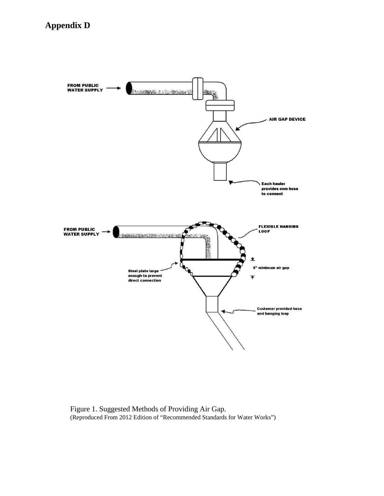

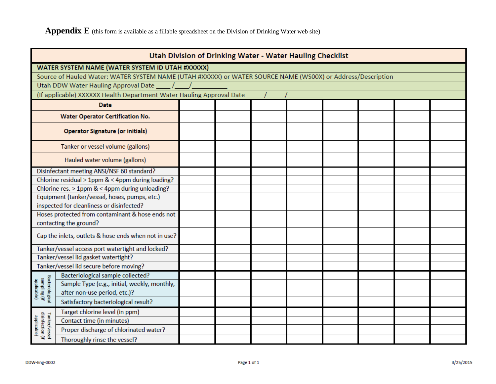Appendix E (this form is available as a fillable spreadsheet on the Division of Drinking Water web site)

| <b>Utah Division of Drinking Water - Water Hauling Checklist</b> |                                                                                                             |  |  |  |  |  |  |  |
|------------------------------------------------------------------|-------------------------------------------------------------------------------------------------------------|--|--|--|--|--|--|--|
|                                                                  | WATER SYSTEM NAME (WATER SYSTEM ID UTAH #XXXXX)                                                             |  |  |  |  |  |  |  |
|                                                                  | Source of Hauled Water: WATER SYSTEM NAME (UTAH #XXXXX) or WATER SOURCE NAME (WS00X) or Address/Description |  |  |  |  |  |  |  |
|                                                                  | Utah DDW Water Hauling Approval Date                                                                        |  |  |  |  |  |  |  |
|                                                                  | (If applicable) XXXXXX Health Department Water Hauling Approval Date                                        |  |  |  |  |  |  |  |
|                                                                  | <b>Date</b>                                                                                                 |  |  |  |  |  |  |  |
|                                                                  | <b>Water Operator Certification No.</b>                                                                     |  |  |  |  |  |  |  |
|                                                                  | <b>Operator Signature (or initials)</b>                                                                     |  |  |  |  |  |  |  |
|                                                                  | Tanker or vessel volume (gallons)                                                                           |  |  |  |  |  |  |  |
|                                                                  | Hauled water volume (gallons)                                                                               |  |  |  |  |  |  |  |
|                                                                  | Disinfectant meeting ANSI/NSF 60 standard?                                                                  |  |  |  |  |  |  |  |
|                                                                  | Chlorine residual > 1ppm & < 4ppm during loading?                                                           |  |  |  |  |  |  |  |
|                                                                  | Chlorine res. > 1ppm & < 4ppm during unloading?                                                             |  |  |  |  |  |  |  |
|                                                                  | Equipment (tanker/vessel, hoses, pumps, etc.)                                                               |  |  |  |  |  |  |  |
|                                                                  | inspected for cleanliness or disinfected?                                                                   |  |  |  |  |  |  |  |
|                                                                  | Hoses protected from contaminant & hose ends not<br>contacting the ground?                                  |  |  |  |  |  |  |  |
| Cap the inlets, outlets & hose ends when not in use?             |                                                                                                             |  |  |  |  |  |  |  |
|                                                                  | Tanker/vessel access port watertight and locked?                                                            |  |  |  |  |  |  |  |
|                                                                  | Tanker/vessel lid gasket watertight?                                                                        |  |  |  |  |  |  |  |
|                                                                  | Tanker/vessel lid secure before moving?                                                                     |  |  |  |  |  |  |  |
|                                                                  | Bacteriological sample collected?                                                                           |  |  |  |  |  |  |  |
|                                                                  | Sample Type (e.g., initial, weekly, monthly,                                                                |  |  |  |  |  |  |  |
| Bacteriological<br>sampling (if<br>applicable)                   | after non-use period, etc.)?                                                                                |  |  |  |  |  |  |  |
|                                                                  | Satisfactory bacteriological result?                                                                        |  |  |  |  |  |  |  |
|                                                                  | Target chlorine level (in ppm)                                                                              |  |  |  |  |  |  |  |
|                                                                  | Contact time (in minutes)                                                                                   |  |  |  |  |  |  |  |
| Tanker/vessel<br>disinfection (if<br>applicable                  | Proper discharge of chlorinated water?                                                                      |  |  |  |  |  |  |  |
|                                                                  | Thoroughly rinse the vessel?                                                                                |  |  |  |  |  |  |  |